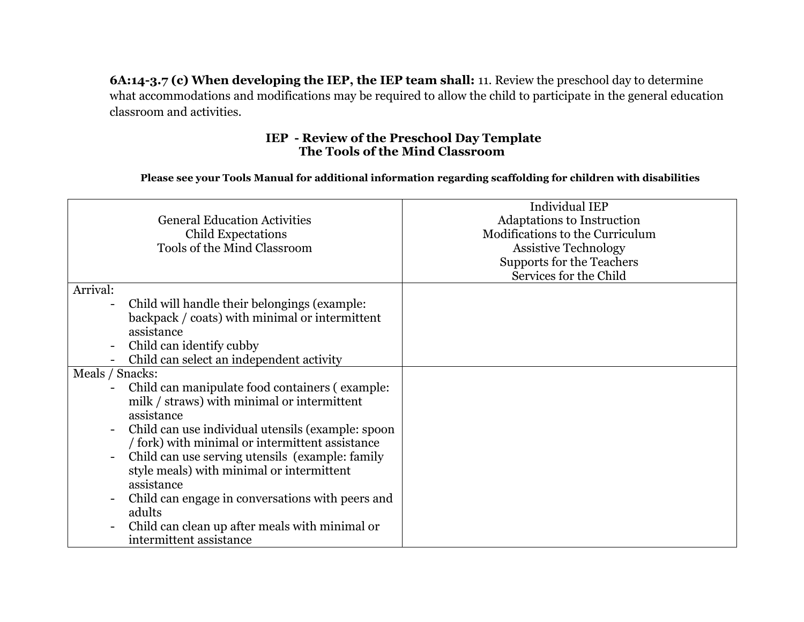**6A:14-3.7 (c) When developing the IEP, the IEP team shall:** 11. Review the preschool day to determine what accommodations and modifications may be required to allow the child to participate in the general education classroom and activities.

## **IEP - Review of the Preschool Day Template The Tools of the Mind Classroom**

## **Please see your Tools Manual for additional information regarding scaffolding for children with disabilities**

| <b>General Education Activities</b><br><b>Child Expectations</b><br>Tools of the Mind Classroom                                                                                                                                                                                                                                                                                                                                                                                                 | <b>Individual IEP</b><br>Adaptations to Instruction<br>Modifications to the Curriculum<br><b>Assistive Technology</b><br>Supports for the Teachers<br>Services for the Child |
|-------------------------------------------------------------------------------------------------------------------------------------------------------------------------------------------------------------------------------------------------------------------------------------------------------------------------------------------------------------------------------------------------------------------------------------------------------------------------------------------------|------------------------------------------------------------------------------------------------------------------------------------------------------------------------------|
| Arrival:<br>Child will handle their belongings (example:<br>backpack / coats) with minimal or intermittent<br>assistance<br>Child can identify cubby<br>Child can select an independent activity                                                                                                                                                                                                                                                                                                |                                                                                                                                                                              |
| Meals / Snacks:<br>Child can manipulate food containers (example:<br>milk / straws) with minimal or intermittent<br>assistance<br>Child can use individual utensils (example: spoon<br>/ fork) with minimal or intermittent assistance<br>Child can use serving utensils (example: family<br>style meals) with minimal or intermittent<br>assistance<br>Child can engage in conversations with peers and<br>adults<br>Child can clean up after meals with minimal or<br>intermittent assistance |                                                                                                                                                                              |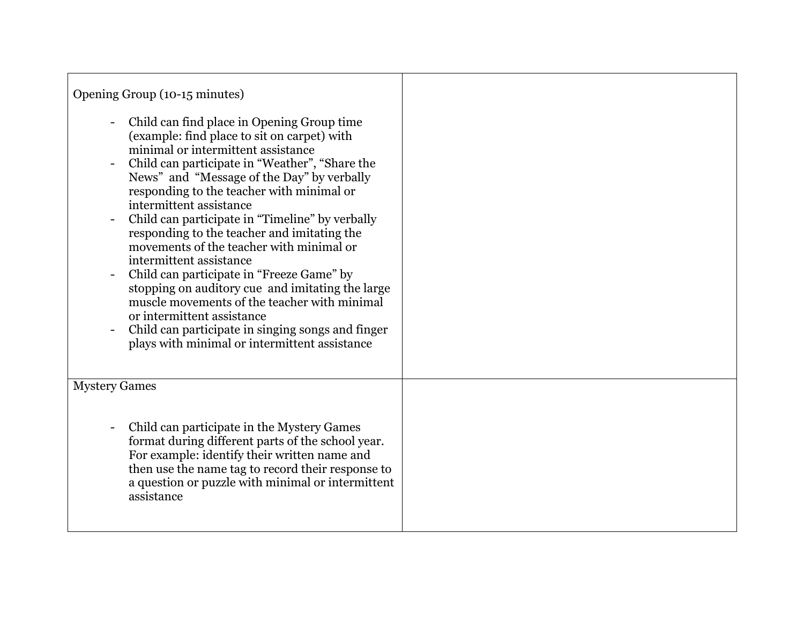| Opening Group (10-15 minutes)                                                                                                                                                                                                                                                                                                                                                                                                                                                                                                                                                                                                                                                                                                                                         |  |
|-----------------------------------------------------------------------------------------------------------------------------------------------------------------------------------------------------------------------------------------------------------------------------------------------------------------------------------------------------------------------------------------------------------------------------------------------------------------------------------------------------------------------------------------------------------------------------------------------------------------------------------------------------------------------------------------------------------------------------------------------------------------------|--|
| Child can find place in Opening Group time<br>(example: find place to sit on carpet) with<br>minimal or intermittent assistance<br>Child can participate in "Weather", "Share the<br>News" and "Message of the Day" by verbally<br>responding to the teacher with minimal or<br>intermittent assistance<br>Child can participate in "Timeline" by verbally<br>responding to the teacher and imitating the<br>movements of the teacher with minimal or<br>intermittent assistance<br>Child can participate in "Freeze Game" by<br>stopping on auditory cue and imitating the large<br>muscle movements of the teacher with minimal<br>or intermittent assistance<br>Child can participate in singing songs and finger<br>plays with minimal or intermittent assistance |  |
| <b>Mystery Games</b>                                                                                                                                                                                                                                                                                                                                                                                                                                                                                                                                                                                                                                                                                                                                                  |  |
| Child can participate in the Mystery Games<br>format during different parts of the school year.<br>For example: identify their written name and<br>then use the name tag to record their response to<br>a question or puzzle with minimal or intermittent<br>assistance                                                                                                                                                                                                                                                                                                                                                                                                                                                                                               |  |

Г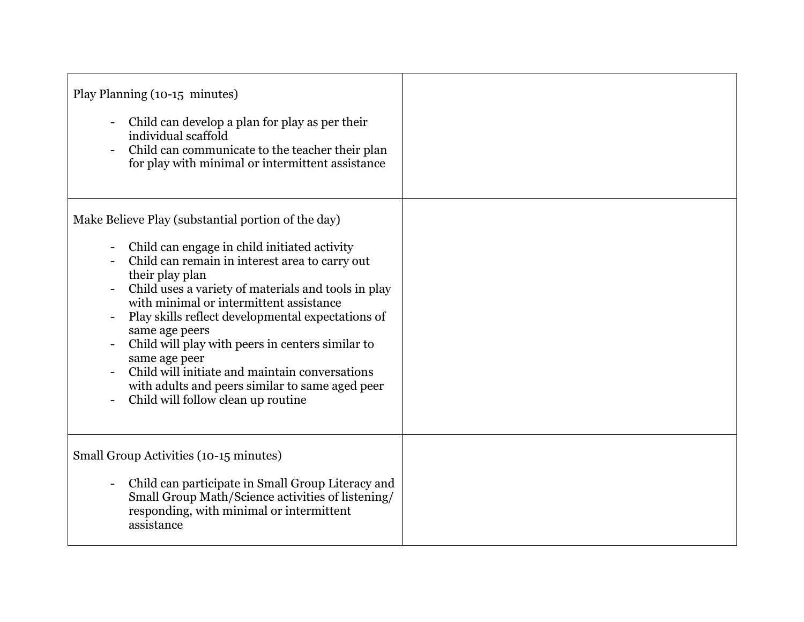| Play Planning (10-15 minutes)<br>Child can develop a plan for play as per their<br>individual scaffold<br>Child can communicate to the teacher their plan<br>for play with minimal or intermittent assistance                                                                                                                                                                                                                                                                                                                                                    |  |
|------------------------------------------------------------------------------------------------------------------------------------------------------------------------------------------------------------------------------------------------------------------------------------------------------------------------------------------------------------------------------------------------------------------------------------------------------------------------------------------------------------------------------------------------------------------|--|
| Make Believe Play (substantial portion of the day)<br>Child can engage in child initiated activity<br>Child can remain in interest area to carry out<br>their play plan<br>Child uses a variety of materials and tools in play<br>with minimal or intermittent assistance<br>Play skills reflect developmental expectations of<br>same age peers<br>Child will play with peers in centers similar to<br>same age peer<br>Child will initiate and maintain conversations<br>with adults and peers similar to same aged peer<br>Child will follow clean up routine |  |
| Small Group Activities (10-15 minutes)<br>Child can participate in Small Group Literacy and<br>Small Group Math/Science activities of listening/<br>responding, with minimal or intermittent<br>assistance                                                                                                                                                                                                                                                                                                                                                       |  |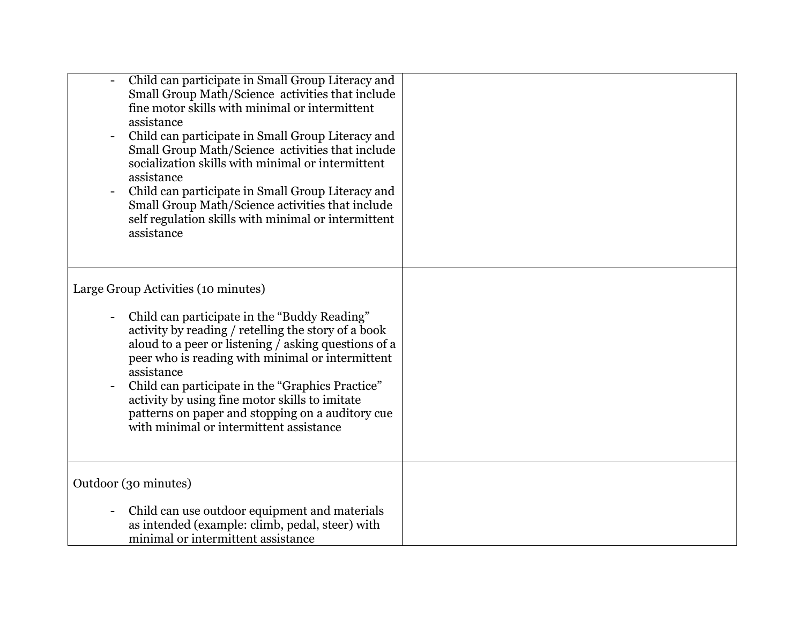| Child can participate in Small Group Literacy and<br>Small Group Math/Science activities that include<br>fine motor skills with minimal or intermittent<br>assistance<br>Child can participate in Small Group Literacy and<br>Small Group Math/Science activities that include<br>socialization skills with minimal or intermittent<br>assistance<br>Child can participate in Small Group Literacy and<br>Small Group Math/Science activities that include<br>self regulation skills with minimal or intermittent<br>assistance |  |
|---------------------------------------------------------------------------------------------------------------------------------------------------------------------------------------------------------------------------------------------------------------------------------------------------------------------------------------------------------------------------------------------------------------------------------------------------------------------------------------------------------------------------------|--|
| Large Group Activities (10 minutes)<br>Child can participate in the "Buddy Reading"<br>activity by reading / retelling the story of a book<br>aloud to a peer or listening / asking questions of a<br>peer who is reading with minimal or intermittent<br>assistance<br>Child can participate in the "Graphics Practice"<br>activity by using fine motor skills to imitate                                                                                                                                                      |  |
| patterns on paper and stopping on a auditory cue<br>with minimal or intermittent assistance                                                                                                                                                                                                                                                                                                                                                                                                                                     |  |
| Outdoor (30 minutes)                                                                                                                                                                                                                                                                                                                                                                                                                                                                                                            |  |
| Child can use outdoor equipment and materials<br>as intended (example: climb, pedal, steer) with<br>minimal or intermittent assistance                                                                                                                                                                                                                                                                                                                                                                                          |  |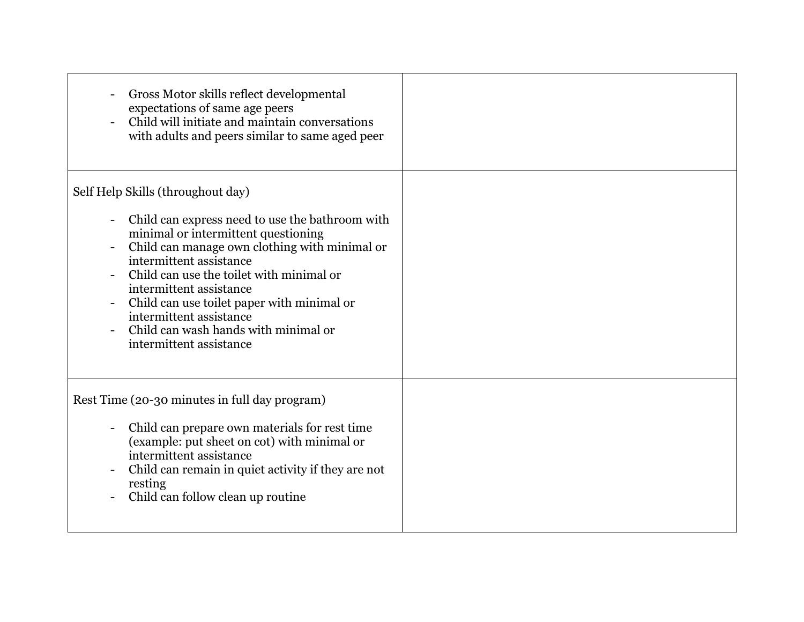| Gross Motor skills reflect developmental<br>expectations of same age peers<br>Child will initiate and maintain conversations<br>with adults and peers similar to same aged peer                                                                                                                                                                                                                                            |  |
|----------------------------------------------------------------------------------------------------------------------------------------------------------------------------------------------------------------------------------------------------------------------------------------------------------------------------------------------------------------------------------------------------------------------------|--|
| Self Help Skills (throughout day)<br>Child can express need to use the bathroom with<br>minimal or intermittent questioning<br>Child can manage own clothing with minimal or<br>intermittent assistance<br>Child can use the toilet with minimal or<br>intermittent assistance<br>Child can use toilet paper with minimal or<br>intermittent assistance<br>Child can wash hands with minimal or<br>intermittent assistance |  |
| Rest Time (20-30 minutes in full day program)<br>Child can prepare own materials for rest time<br>(example: put sheet on cot) with minimal or<br>intermittent assistance<br>Child can remain in quiet activity if they are not<br>resting<br>Child can follow clean up routine                                                                                                                                             |  |